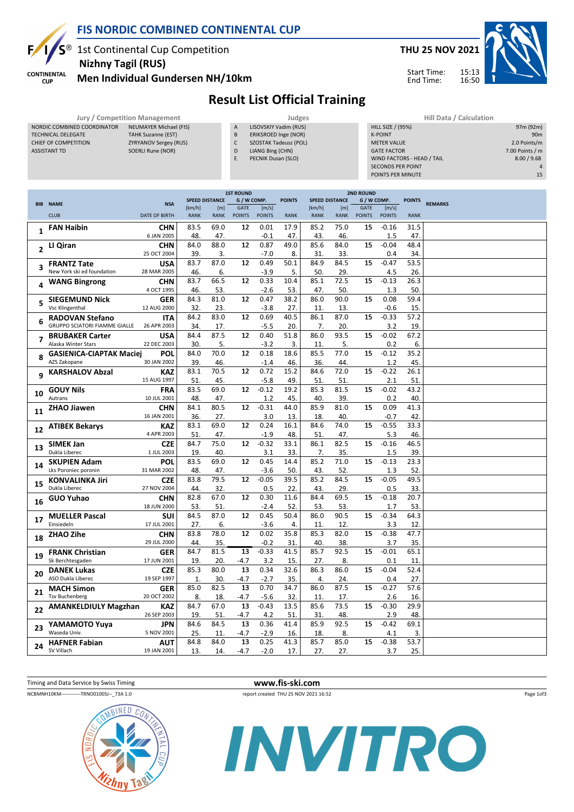

**CUP** 

## FIS NORDIC COMBINED CONTINENTAL CUP

1st Continental Cup Competition Nizhny Tagil (RUS)



Men Individual Gundersen NH/10km

## Result List Official Training

|                             | Jury / Competition Management |   | Judges                | <b>Hill Data / Calculation</b> |
|-----------------------------|-------------------------------|---|-----------------------|--------------------------------|
| NORDIC COMBINED COORDINATOR | NEUMAYER Michael (FIS)        | A | LISOVSKIY Vadim (RUS) | HILL SIZE / (95%)              |
| <b>TECHNICAL DELEGATE</b>   | <b>TAHK Suzanne (EST)</b>     | B | ERIKSROED Inge (NOR)  | <b>K-POINT</b>                 |
| CHIEF OF COMPETITION        | <b>ZYRYANOV Sergey (RUS)</b>  |   | SZOSTAK Tadeusz (POL) | <b>METER VALUE</b>             |
| ASSISTANT TD                | SOERLI Rune (NOR)             | D | LIANG Bing (CHN)      | <b>GATE FACTOR</b>             |
|                             |                               |   | PECNIK Dusan (SLO)    | WIND FACTORS - HEAD / TAIL     |

| <b>Hill Data / Calculation</b> |                 |
|--------------------------------|-----------------|
| <b>HILL SIZE / (95%)</b>       | 97m (92m)       |
| <b>K-POINT</b>                 | 90 <sub>m</sub> |
| <b>METER VALUE</b>             | 2.0 Points/m    |
| <b>GATE FACTOR</b>             | 7.00 Points / m |
| WIND FACTORS - HEAD / TAIL     | 8.00 / 9.68     |
| <b>SECONDS PER POINT</b>       | $\Delta$        |
| POINTS PER MINUTE              | 15              |

|                |                                      |                           |                       |                       | <b>1ST ROUND</b>             |                        |               | <b>2ND ROUND</b>      |                    |                              |                        |               |                |
|----------------|--------------------------------------|---------------------------|-----------------------|-----------------------|------------------------------|------------------------|---------------|-----------------------|--------------------|------------------------------|------------------------|---------------|----------------|
|                | <b>BIB NAME</b>                      | <b>NSA</b>                |                       | <b>SPEED DISTANCE</b> | G / W COMP.                  |                        | <b>POINTS</b> | <b>SPEED DISTANCE</b> |                    | G / W COMP.                  |                        | <b>POINTS</b> | <b>REMARKS</b> |
|                | <b>CLUB</b>                          | <b>DATE OF BIRTH</b>      | [km/h]<br><b>RANK</b> | [m]<br><b>RANK</b>    | <b>GATE</b><br><b>POINTS</b> | [m/s]<br><b>POINTS</b> | <b>RANK</b>   | [km/h]<br><b>RANK</b> | [m]<br><b>RANK</b> | <b>GATE</b><br><b>POINTS</b> | [m/s]<br><b>POINTS</b> | <b>RANK</b>   |                |
|                |                                      |                           |                       |                       |                              |                        |               |                       |                    |                              |                        |               |                |
| 1              | <b>FAN Haibin</b>                    | <b>CHN</b>                | 83.5                  | 69.0                  | 12                           | 0.01                   | 17.9          | 85.2                  | 75.0               | 15                           | $-0.16$                | 31.5          |                |
|                |                                      | 6 JAN 2005                | 48.                   | 47.                   |                              | $-0.1$                 | 47.           | 43.                   | 46.                |                              | 1.5                    | 47.           |                |
| $\overline{2}$ | LI Qiran                             | <b>CHN</b>                | 84.0                  | 88.0                  | 12                           | 0.87                   | 49.0          | 85.6                  | 84.0               | 15                           | $-0.04$                | 48.4          |                |
|                |                                      | 25 OCT 2004               | 39.                   | 3.                    |                              | $-7.0$                 | 8.            | 31.                   | 33.                |                              | 0.4                    | 34.           |                |
| 3              | <b>FRANTZ Tate</b>                   | <b>USA</b>                | 83.7                  | 87.0                  | 12                           | 0.49                   | 50.1          | 84.9                  | 84.5               | 15                           | $-0.47$                | 53.5          |                |
|                | New York ski ed foundation           | 28 MAR 2005               | 46.                   | 6.                    |                              | $-3.9$                 | 5.            | 50.                   | 29.                |                              | 4.5                    | 26.           |                |
| 4              | <b>WANG Bingrong</b>                 | <b>CHN</b>                | 83.7                  | 66.5                  | 12                           | 0.33                   | 10.4          | 85.1                  | 72.5               | 15                           | $-0.13$                | 26.3          |                |
|                |                                      | 4 OCT 1995                | 46.                   | 53.                   |                              | $-2.6$                 | 53.           | 47.                   | 50.                |                              | 1.3                    | 50.           |                |
| 5              | <b>SIEGEMUND Nick</b>                | <b>GER</b>                | 84.3                  | 81.0                  | 12                           | 0.47                   | 38.2          | 86.0                  | 90.0               | 15                           | 0.08                   | 59.4          |                |
|                | <b>Vsc Klingenthal</b>               | 12 AUG 2000               | 32.                   | 23.                   |                              | $-3.8$                 | 27.           | 11.                   | 13.                |                              | $-0.6$                 | 15.           |                |
| 6              | <b>RADOVAN Stefano</b>               | <b>ITA</b>                | 84.2                  | 83.0                  | 12                           | 0.69                   | 40.5          | 86.1                  | 87.0               | 15                           | $-0.33$                | 57.2          |                |
|                | <b>GRUPPO SCIATORI FIAMME GIALLE</b> | 26 APR 2003               | 34.                   | 17.                   |                              | $-5.5$                 | 20.           | 7.                    | 20.                |                              | 3.2                    | 19.           |                |
| 7              | <b>BRUBAKER Carter</b>               | <b>USA</b>                | 84.4                  | 87.5                  | 12                           | 0.40                   | 51.8          | 86.0                  | 93.5               | 15                           | $-0.02$                | 67.2          |                |
|                | Alaska Winter Stars                  | 22 DEC 2003               | 30.                   | 5.                    |                              | $-3.2$                 | 3.            | 11.                   | 5.                 |                              | 0.2                    | 6.            |                |
| 8              | <b>GASIENICA-CIAPTAK Maciej</b>      | POL                       | 84.0                  | 70.0                  | 12                           | 0.18                   | 18.6          | 85.5                  | 77.0               | 15                           | $-0.12$                | 35.2          |                |
|                | AZS Zakopane                         | 30 JAN 2002               | 39.                   | 46.                   |                              | $-1.4$                 | 46.           | 36.                   | 44.                |                              | 1.2                    | 45.           |                |
| 9              | <b>KARSHALOV Abzal</b>               | <b>KAZ</b>                | 83.1                  | 70.5                  | 12                           | 0.72                   | 15.2          | 84.6                  | 72.0               | 15                           | $-0.22$                | 26.1          |                |
|                |                                      | 15 AUG 1997               | 51.                   | 45.                   |                              | $-5.8$                 | 49.           | 51.                   | 51.                |                              | 2.1                    | 51.           |                |
| 10             | <b>GOUY Nils</b>                     | <b>FRA</b>                | 83.5                  | 69.0                  | 12                           | $-0.12$                | 19.2          | 85.3                  | 81.5               | 15                           | $-0.02$                | 43.2          |                |
|                | Autrans                              | 10 JUL 2001               | 48.                   | 47.                   |                              | 1.2                    | 45.           | 40.                   | 39.                |                              | 0.2                    | 40.           |                |
| 11             | ZHAO Jiawen                          | <b>CHN</b>                | 84.1                  | 80.5                  | 12                           | $-0.31$                | 44.0          | 85.9                  | 81.0               | 15                           | 0.09                   | 41.3          |                |
|                |                                      | 16 JAN 2001               | 36.                   | 27.                   |                              | 3.0                    | 13.           | 18.                   | 40.                |                              | $-0.7$                 | 42.           |                |
| 12             | ATIBEK Bekarys                       | <b>KAZ</b>                | 83.1                  | 69.0                  | 12                           | 0.24                   | 16.1          | 84.6                  | 74.0               | 15                           | $-0.55$                | 33.3          |                |
|                |                                      | 4 APR 2003                | 51.                   | 47.                   |                              | $-1.9$                 | 48.           | 51.                   | 47.                |                              | 5.3                    | 46.           |                |
| 13             | <b>SIMEK Jan</b>                     | <b>CZE</b>                | 84.7                  | 75.0                  | 12                           | $-0.32$                | 33.1          | 86.1                  | 82.5               | 15                           | $-0.16$                | 46.5          |                |
|                | Dukla Liberec                        | 1 JUL 2003                | 19.                   | 40.                   |                              | 3.1                    | 33.           | 7.                    | 35.                |                              | 1.5                    | 39.           |                |
| 14             | <b>SKUPIEN Adam</b>                  | POL                       | 83.5                  | 69.0                  | 12                           | 0.45                   | 14.4          | 85.2                  | 71.0               | 15                           | $-0.13$                | 23.3          |                |
|                | Lks Poroniec poronin                 | 31 MAR 2002               | 48.                   | 47.                   |                              | $-3.6$                 | 50.           | 43.                   | 52.                |                              | 1.3                    | 52.           |                |
| 15             | <b>KONVALINKA Jiri</b>               | <b>CZE</b>                | 83.8                  | 79.5                  | 12                           | $-0.05$                | 39.5          | 85.2                  | 84.5               | 15                           | $-0.05$                | 49.5          |                |
|                | Dukla Liberec                        | 27 NOV 2004               | 44.                   | 32.                   |                              | 0.5                    | 22.           | 43.                   | 29.                |                              | 0.5                    | 33.           |                |
| 16             | <b>GUO Yuhao</b>                     | <b>CHN</b>                | 82.8                  | 67.0                  | 12                           | 0.30                   | 11.6          | 84.4                  | 69.5               | 15                           | $-0.18$                | 20.7          |                |
|                |                                      | 18 JUN 2000               | 53.                   | 51.                   |                              | $-2.4$<br>0.45         | 52.           | 53.                   | 53.<br>90.5        |                              | 1.7                    | 53.           |                |
| 17             | <b>MUELLER Pascal</b><br>Einsiedeln  | SUI<br>17 JUL 2001        | 84.5<br>27.           | 87.0<br>6.            | 12                           |                        | 50.4<br>4.    | 86.0                  |                    | 15                           | $-0.34$<br>3.3         | 64.3          |                |
|                |                                      |                           | 83.8                  | 78.0                  | 12                           | $-3.6$<br>0.02         | 35.8          | 11.<br>85.3           | 12.<br>82.0        | 15                           | $-0.38$                | 12.<br>47.7   |                |
| 18             | ZHAO Zihe                            | <b>CHN</b><br>29 JUL 2000 | 44.                   | 35.                   |                              | $-0.2$                 | 31.           | 40.                   | 38.                |                              | 3.7                    | 35.           |                |
|                | <b>FRANK Christian</b>               | <b>GER</b>                | 84.7                  | 81.5                  | 13                           | $-0.33$                | 41.5          | 85.7                  | 92.5               | 15                           | $-0.01$                | 65.1          |                |
| 19             | Sk Berchtesgaden                     | 17 JUN 2001               | 19.                   | 20.                   | $-4.7$                       | 3.2                    | 15.           | 27.                   | 8.                 |                              | 0.1                    | 11.           |                |
|                | <b>DANEK Lukas</b>                   | <b>CZE</b>                | 85.3                  | 80.0                  | 13                           | 0.34                   | 32.6          | 86.3                  | 86.0               | 15                           | $-0.04$                | 52.4          |                |
| 20             | ASO Dukla Liberec                    | 19 SEP 1997               | 1.                    | 30.                   | $-4.7$                       | $-2.7$                 | 35.           | 4.                    | 24.                |                              | 0.4                    | 27.           |                |
|                | <b>MACH Simon</b>                    | <b>GER</b>                | 85.0                  | 82.5                  | 13                           | 0.70                   | 34.7          | 86.0                  | 87.5               | 15                           | $-0.27$                | 57.6          |                |
| 21             | <b>Tsv Buchenberg</b>                | 20 OCT 2002               | 8.                    | 18.                   | $-4.7$                       | $-5.6$                 | 32.           | 11.                   | 17.                |                              | 2.6                    | 16.           |                |
|                | <b>AMANKELDIULY Magzhan</b>          | <b>KAZ</b>                | 84.7                  | 67.0                  | 13                           | $-0.43$                | 13.5          | 85.6                  | 73.5               | 15                           | $-0.30$                | 29.9          |                |
| 22             |                                      | 26 SEP 2003               | 19.                   | 51.                   | $-4.7$                       | 4.2                    | 51.           | 31.                   | 48.                |                              | 2.9                    | 48.           |                |
|                | YAMAMOTO Yuya                        | <b>JPN</b>                | 84.6                  | 84.5                  | 13                           | 0.36                   | 41.4          | 85.9                  | 92.5               | 15                           | $-0.42$                | 69.1          |                |
| 23             | Waseda Univ.                         | 5 NOV 2001                | 25                    | 11.                   | $-4.7$                       | $-2.9$                 | 16.           | 18.                   | 8.                 |                              | 4.1                    | 3.            |                |
|                | <b>HAFNER Fabian</b>                 | AUT                       | 84.8                  | 84.0                  | 13                           | 0.25                   | 41.3          | 85.7                  | 85.0               | 15                           | $-0.38$                | 53.7          |                |
| 24             | SV Villach                           | 19 JAN 2001               | 13.                   | 14.                   | $-4.7$                       | $-2.0$                 | 17.           | 27.                   | 27.                |                              | 3.7                    | 25.           |                |
|                |                                      |                           |                       |                       |                              |                        |               |                       |                    |                              |                        |               |                |







Page 1of3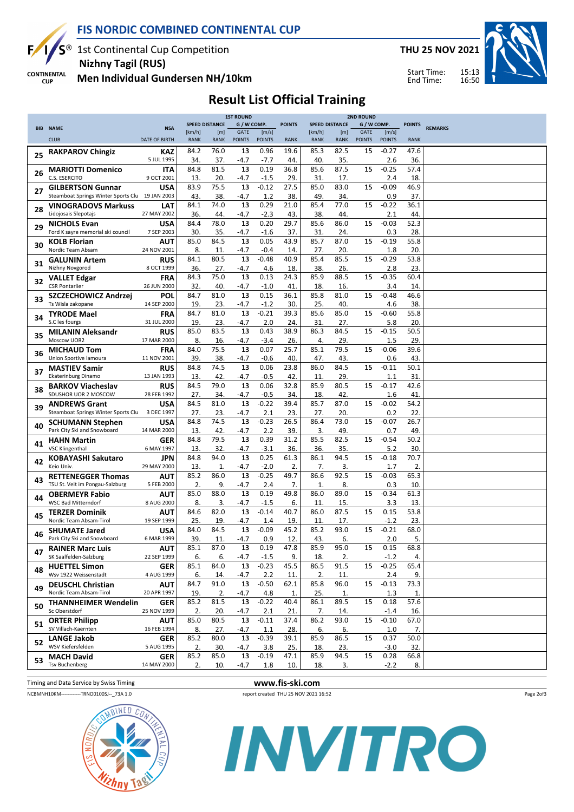

**CUP** 

# FIS NORDIC COMBINED CONTINENTAL CUP

1st Continental Cup Competition Nizhny Tagil (RUS)

THU 25 NOV 2021

Start Time: End Time:



**CONTINENTAL** Men Individual Gundersen NH/10km

## Result List Official Training

|    |                                                 |                      | <b>1ST ROUND</b><br><b>2ND ROUND</b> |             |               |               |               |                       |             |               |               |               |                |
|----|-------------------------------------------------|----------------------|--------------------------------------|-------------|---------------|---------------|---------------|-----------------------|-------------|---------------|---------------|---------------|----------------|
|    |                                                 |                      | <b>SPEED DISTANCE</b>                |             | G / W COMP.   |               | <b>POINTS</b> | <b>SPEED DISTANCE</b> |             | G / W COMP.   |               | <b>POINTS</b> | <b>REMARKS</b> |
|    | <b>BIB NAME</b>                                 | <b>NSA</b>           | [km/h]                               | [m]         | <b>GATE</b>   | [m/s]         |               | [km/h]                | [m]         | <b>GATE</b>   | [m/s]         |               |                |
|    | <b>CLUB</b>                                     | <b>DATE OF BIRTH</b> | <b>RANK</b>                          | <b>RANK</b> | <b>POINTS</b> | <b>POINTS</b> | <b>RANK</b>   | <b>RANK</b>           | <b>RANK</b> | <b>POINTS</b> | <b>POINTS</b> | <b>RANK</b>   |                |
|    |                                                 |                      |                                      |             |               |               |               |                       |             |               |               |               |                |
| 25 | <b>RAKPAROV Chingiz</b>                         | KAZ                  | 84.2                                 | 76.0        | 13            | 0.96          | 19.6          | 85.3                  | 82.5        | 15            | $-0.27$       | 47.6          |                |
|    |                                                 | 5 JUL 1995           | 34.                                  | 37.         | -4.7          | $-7.7$        | 44.           | 40.                   | 35.         |               | 2.6           | 36.           |                |
|    | <b>MARIOTTI Domenico</b>                        | <b>ITA</b>           | 84.8                                 | 81.5        | 13            | 0.19          | 36.8          | 85.6                  | 87.5        | 15            | $-0.25$       | 57.4          |                |
| 26 | C.S. ESERCITO                                   | 9 OCT 2001           | 13.                                  | 20.         | -4.7          | $-1.5$        | 29.           | 31.                   | 17.         |               | 2.4           | 18.           |                |
|    |                                                 | <b>USA</b>           | 83.9                                 | 75.5        | 13            | $-0.12$       | 27.5          | 85.0                  | 83.0        | 15            | $-0.09$       | 46.9          |                |
| 27 | <b>GILBERTSON Gunnar</b>                        |                      |                                      |             |               |               |               |                       |             |               |               |               |                |
|    | Steamboat Springs Winter Sports Clu 19 JAN 2003 |                      | 43.                                  | 38.         | $-4.7$        | 1.2           | 38.           | 49                    | 34.         |               | 0.9           | 37.           |                |
| 28 | <b>VINOGRADOVS Markuss</b>                      | LAT                  | 84.1                                 | 74.0        | 13            | 0.29          | 21.0          | 85.4                  | 77.0        | 15            | $-0.22$       | 36.1          |                |
|    | Lidojosais Slepotajs                            | 27 MAY 2002          | 36.                                  | 44.         | $-4.7$        | $-2.3$        | 43.           | 38.                   | 44          |               | 2.1           | 44.           |                |
|    | <b>NICHOLS Evan</b>                             | <b>USA</b>           | 84.4                                 | 78.0        | 13            | 0.20          | 29.7          | 85.6                  | 86.0        | 15            | $-0.03$       | 52.3          |                |
| 29 | Ford K sayre memorial ski council               | 7 SEP 2003           | 30.                                  | 35.         | -4.7          | $-1.6$        | 37.           | 31.                   | 24.         |               | 0.3           | 28.           |                |
|    |                                                 |                      |                                      |             |               |               |               |                       |             |               |               |               |                |
| 30 | <b>KOLB Florian</b>                             | <b>AUT</b>           | 85.0                                 | 84.5        | 13            | 0.05          | 43.9          | 85.7                  | 87.0        | 15            | $-0.19$       | 55.8          |                |
|    | Nordic Team Absam                               | 24 NOV 2001          | 8.                                   | 11.         | -4.7          | $-0.4$        | 14.           | 27.                   | 20.         |               | 1.8           | 20.           |                |
|    | <b>GALUNIN Artem</b>                            | <b>RUS</b>           | 84.1                                 | 80.5        | 13            | $-0.48$       | 40.9          | 85.4                  | 85.5        | 15            | $-0.29$       | 53.8          |                |
| 31 | Nizhny Novgorod                                 | 8 OCT 1999           | 36.                                  | 27.         | $-4.7$        | 4.6           | 18.           | 38.                   | 26.         |               | 2.8           | 23.           |                |
|    |                                                 |                      | 84.3                                 | 75.0        | 13            | 0.13          | 24.3          | 85.9                  | 88.5        | 15            | $-0.35$       | 60.4          |                |
| 32 | <b>VALLET Edgar</b>                             | FRA                  |                                      |             |               |               |               |                       |             |               |               |               |                |
|    | <b>CSR Pontarlier</b>                           | 26 JUN 2000          | 32.                                  | 40.         | $-4.7$        | $-1.0$        | 41            | 18.                   | 16.         |               | 3.4           | 14.           |                |
| 33 | SZCZECHOWICZ Andrzej                            | <b>POL</b>           | 84.7                                 | 81.0        | 13            | 0.15          | 36.1          | 85.8                  | 81.0        | 15            | $-0.48$       | 46.6          |                |
|    | Ts Wisla zakopane                               | 14 SEP 2000          | 19.                                  | 23.         | $-4.7$        | $-1.2$        | 30.           | 25.                   | 40.         |               | 4.6           | 38.           |                |
|    | <b>TYRODE Mael</b>                              | FRA                  | 84.7                                 | 81.0        | 13            | $-0.21$       | 39.3          | 85.6                  | 85.0        | 15            | $-0.60$       | 55.8          |                |
| 34 | S.C les fourgs                                  | 31 JUL 2000          | 19.                                  | 23.         | -4.7          | 2.0           | 24.           | 31.                   | 27.         |               | 5.8           | 20.           |                |
|    |                                                 |                      | 85.0                                 | 83.5        | 13            | 0.43          | 38.9          | 86.3                  | 84.5        | 15            | $-0.15$       | 50.5          |                |
| 35 | <b>MILANIN Aleksandr</b>                        | <b>RUS</b>           |                                      |             |               |               |               |                       |             |               |               |               |                |
|    | Moscow UOR2                                     | 17 MAR 2000          | 8.                                   | 16.         | -4.7          | $-3.4$        | 26.           | 4.                    | 29.         |               | 1.5           | 29.           |                |
| 36 | <b>MICHAUD Tom</b>                              | <b>FRA</b>           | 84.0                                 | 75.5        | 13            | 0.07          | 25.7          | 85.1                  | 79.5        | 15            | $-0.06$       | 39.6          |                |
|    | Union Sportive lamoura                          | 11 NOV 2001          | 39.                                  | 38.         | -4.7          | -0.6          | 40            | 47.                   | 43.         |               | 0.6           | 43.           |                |
|    | <b>MASTIEV Samir</b>                            | <b>RUS</b>           | 84.8                                 | 74.5        | 13            | 0.06          | 23.8          | 86.0                  | 84.5        | 15            | $-0.11$       | 50.1          |                |
| 37 | <b>Ekaterinburg Dinamo</b>                      | 13 JAN 1993          | 13.                                  | 42.         | $-4.7$        | $-0.5$        | 42.           | 11.                   | 29.         |               | 1.1           | 31.           |                |
|    |                                                 |                      |                                      |             |               |               |               |                       |             |               |               |               |                |
| 38 | <b>BARKOV Viacheslav</b>                        | <b>RUS</b>           | 84.5                                 | 79.0        | 13            | 0.06          | 32.8          | 85.9                  | 80.5        | 15            | $-0.17$       | 42.6          |                |
|    | SDUSHOR UOR 2 MOSCOW                            | 28 FEB 1992          | 27.                                  | 34.         | $-4.7$        | $-0.5$        | 34.           | 18.                   | 42.         |               | 1.6           | 41.           |                |
|    | <b>ANDREWS Grant</b>                            | <b>USA</b>           | 84.5                                 | 81.0        | 13            | $-0.22$       | 39.4          | 85.7                  | 87.0        | 15            | $-0.02$       | 54.2          |                |
| 39 | Steamboat Springs Winter Sports Clu             | 3 DEC 1997           | 27.                                  | 23.         | $-4.7$        | 2.1           | 23.           | 27.                   | 20.         |               | 0.2           | 22.           |                |
|    | <b>SCHUMANN Stephen</b>                         | <b>USA</b>           | 84.8                                 | 74.5        | 13            | $-0.23$       | 26.5          | 86.4                  | 73.0        | 15            | $-0.07$       | 26.7          |                |
| 40 | Park City Ski and Snowboard                     | 14 MAR 2000          | 13.                                  | 42.         | $-4.7$        | 2.2           | 39.           | 3.                    | 49.         |               | 0.7           | 49.           |                |
|    |                                                 |                      |                                      |             |               |               |               |                       |             |               |               |               |                |
| 41 | <b>HAHN Martin</b>                              | <b>GER</b>           | 84.8                                 | 79.5        | 13            | 0.39          | 31.2          | 85.5                  | 82.5        | 15            | $-0.54$       | 50.2          |                |
|    | <b>VSC Klingenthal</b>                          | 6 MAY 1997           | 13.                                  | 32.         | $-4.7$        | $-3.1$        | 36.           | 36.                   | 35.         |               | 5.2           | 30.           |                |
|    | KOBAYASHI Sakutaro                              | JPN                  | 84.8                                 | 94.0        | 13            | 0.25          | 61.3          | 86.1                  | 94.5        | 15            | $-0.18$       | 70.7          |                |
| 42 | Keio Univ.                                      | 29 MAY 2000          | 13.                                  | 1.          | $-4.7$        | $-2.0$        | 2.            | 7.                    | 3.          |               | 1.7           | 2.            |                |
|    | <b>RETTENEGGER Thomas</b>                       | <b>AUT</b>           | 85.2                                 | 86.0        | 13            | $-0.25$       | 49.7          | 86.6                  | 92.5        | 15            | $-0.03$       | 65.3          |                |
| 43 |                                                 |                      |                                      |             |               |               |               |                       |             |               |               |               |                |
|    | TSU St. Veit im Pongau-Salzburg                 | 5 FEB 2000           | 2.                                   | 9.          | -4.7          | 2.4           | 7.            | 1.                    | 8.          |               | 0.3           | 10.           |                |
| 44 | <b>OBERMEYR Fabio</b>                           | <b>AUT</b>           | 85.0                                 | 88.0        | 13            | 0.19          | 49.8          | 86.0                  | 89.0        | 15            | $-0.34$       | 61.3          |                |
|    | <b>WSC Bad Mitterndorf</b>                      | 8 AUG 2000           | 8.                                   | 3.          | $-4.7$        | $-1.5$        | 6.            | 11                    | 15.         |               | 3.3           | 13.           |                |
|    | <b>TERZER Dominik</b>                           | <b>AUT</b>           | 84.6                                 | 82.0        | 13            | $-0.14$       | 40.7          | 86.0                  | 87.5        | 15            | 0.15          | 53.8          |                |
| 45 | Nordic Team Absam-Tirol                         | 19 SEP 1999          | 25.                                  | 19.         | -4.7          | 1.4           | 19.           | 11.                   | 17.         |               | $-1.2$        | 23.           |                |
|    |                                                 | <b>USA</b>           | 84.0                                 | 84.5        | 13            | $-0.09$       | 45.2          | 85.2                  | 93.0        | 15            | $-0.21$       | 68.0          |                |
| 46 | <b>SHUMATE Jared</b>                            | 6 MAR 1999           |                                      |             |               |               |               |                       |             |               |               |               |                |
|    | Park City Ski and Snowboard                     |                      | 39.                                  | 11          | $-4.7$        | 0.9           | 12.           | 43.                   | 6.          |               | 2.0           | 5.            |                |
| 47 | <b>RAINER Marc Luis</b>                         | AUT                  | 85.1                                 | 87.0        | 13            | 0.19          | 47.8          | 85.9                  | 95.0        | 15            | 0.15          | 68.8          |                |
|    | SK Saalfelden-Salzburg                          | 22 SEP 1999          | 6.                                   | 6.          | -4.7          | $-1.5$        | 9.            | 18.                   | 2.          |               | $-1.2$        | 4.            |                |
|    | <b>HUETTEL Simon</b>                            | GER                  | 85.1                                 | 84.0        | 13            | $-0.23$       | 45.5          | 86.5                  | 91.5        | 15            | $-0.25$       | 65.4          |                |
| 48 | Wsv 1922 Weissenstadt                           | 4 AUG 1999           | 6.                                   | 14.         | -4.7          | 2.2           | 11.           | 2.                    | 11.         |               | 2.4           | 9.            |                |
|    |                                                 |                      |                                      |             | 13            | $-0.50$       | 62.1          | 85.8                  | 96.0        | 15            | $-0.13$       | 73.3          |                |
| 49 | <b>DEUSCHL Christian</b>                        | AUT                  | 84.7                                 | 91.0        |               |               |               |                       |             |               |               |               |                |
|    | Nordic Team Absam-Tirol                         | 20 APR 1997          | 19.                                  | 2.          | -4.7          | 4.8           | 1.            | 25.                   | 1.          |               | 1.3           | 1.            |                |
| 50 | <b>THANNHEIMER Wendelin</b>                     | GER                  | 85.2                                 | 81.5        | 13            | $-0.22$       | 40.4          | 86.1                  | 89.5        | 15            | 0.18          | 57.6          |                |
|    | Sc Oberstdorf                                   | 25 NOV 1999          | 2.                                   | 20.         | -4.7          | 2.1           | 21.           | 7.                    | 14.         |               | $-1.4$        | 16.           |                |
|    | <b>ORTER Philipp</b>                            | <b>AUT</b>           | 85.0                                 | 80.5        | 13            | $-0.11$       | 37.4          | 86.2                  | 93.0        | 15            | $-0.10$       | 67.0          |                |
| 51 | SV Villach-Kaernten                             | 16 FEB 1994          | 8.                                   | 27.         | -4.7          | 1.1           | 28.           | 6.                    | 6.          |               | 1.0           | 7.            |                |
|    |                                                 |                      | 85.2                                 | 80.0        | 13            | $-0.39$       |               | 85.9                  | 86.5        |               | 0.37          | 50.0          |                |
| 52 | <b>LANGE Jakob</b>                              | GER                  |                                      |             |               |               | 39.1          |                       |             | 15            |               |               |                |
|    | WSV Kiefersfelden                               | 5 AUG 1995           | 2.                                   | 30.         | $-4.7$        | 3.8           | 25.           | 18.                   | 23.         |               | $-3.0$        | 32.           |                |
| 53 | <b>MACH David</b>                               | GER                  | 85.2                                 | 85.0        | 13            | $-0.19$       | 47.1          | 85.9                  | 94.5        | 15            | 0.28          | 66.8          |                |
|    | <b>Tsv Buchenberg</b>                           | 14 MAY 2000          | 2.                                   | 10.         | -4.7          | 1.8           | 10.           | 18.                   | 3.          |               | $-2.2$        | 8.            |                |

Timing and Data Service by Swiss Timing WWW.fis-ski.com

NCBMNH10KM-----------TRNO0100SJ--\_73A 1.0

Page 2of3



INVITRO